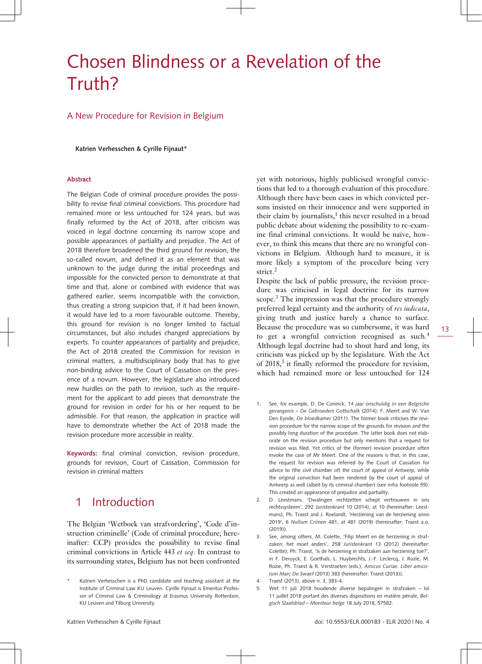# Chosen Blindness or a Revelation of the Truth?

#### A New Procedure for Revision in Belgium

**Katrien Verhesschen & Cyrille Fijnaut\***

#### **Abstract**

The Belgian Code of criminal procedure provides the possibility to revise final criminal convictions. This procedure had remained more or less untouched for 124 years, but was finally reformed by the Act of 2018, after criticism was voiced in legal doctrine concerning its narrow scope and possible appearances of partiality and prejudice. The Act of 2018 therefore broadened the third ground for revision, the so-called novum, and defined it as an element that was unknown to the judge during the initial proceedings and impossible for the convicted person to demonstrate at that time and that, alone or combined with evidence that was gathered earlier, seems incompatible with the conviction, thus creating a strong suspicion that, if it had been known, it would have led to a more favourable outcome. Thereby, this ground for revision is no longer limited to factual circumstances, but also includes changed appreciations by experts. To counter appearances of partiality and prejudice, the Act of 2018 created the Commission for revision in criminal matters, a multidisciplinary body that has to give non-binding advice to the Court of Cassation on the presence of a novum. However, the legislature also introduced new hurdles on the path to revision, such as the requirement for the applicant to add pieces that demonstrate the ground for revision in order for his or her request to be admissible. For that reason, the application in practice will have to demonstrate whether the Act of 2018 made the revision procedure more accessible in reality.

**Keywords:** final criminal conviction, revision procedure, grounds for revision, Court of Cassation, Commission for revision in criminal matters

### 1 Introduction

The Belgian 'Wetboek van strafvordering', 'Code d'instruction criminelle' (Code of criminal procedure; hereinafter: CCP) provides the possibility to revise final criminal convictions in Article 443 *et seq*. In contrast to its surrounding states, Belgium has not been confronted yet with notorious, highly publicised wrongful convictions that led to a thorough evaluation of this procedure. Although there have been cases in which convicted persons insisted on their innocence and were supported in their claim by journalists,<sup>1</sup> this never resulted in a broad public debate about widening the possibility to re-examine final criminal convictions. It would be naïve, however, to think this means that there are no wrongful convictions in Belgium. Although hard to measure, it is more likely a symptom of the procedure being very strict.<sup>2</sup>

Despite the lack of public pressure, the revision procedure was criticised in legal doctrine for its narrow scope.<sup>3</sup> The impression was that the procedure strongly preferred legal certainty and the authority of *res iudicata*, giving truth and justice barely a chance to surface. Because the procedure was so cumbersome, it was hard to get a wrongful conviction recognised as such.<sup>4</sup> Although legal doctrine had to shout hard and long, its criticism was picked up by the legislature. With the Act of 2018,<sup>5</sup> it finally reformed the procedure for revision, which had remained more or less untouched for 124

- 1. See, for example, D. De Coninck, *14 jaar onschuldig in een Belgische gevangenis – De Gebroeders Gottschalk* (2014); F. Meert and W. Van Den Eynde, *De bloedkamer* (2011). The former book criticises the revision procedure for the narrow scope of the grounds for revision and the possibly long duration of the procedure. The latter book does not elaborate on the revision procedure but only mentions that a request for revision was filed. Yet critics of the (former) revision procedure often invoke the case of Mr Meert. One of the reasons is that, in this case, the request for revision was referred by the Court of Cassation for advice to (the civil chamber of) the court of appeal of Antwerp, while the original conviction had been rendered by the court of appeal of Antwerp as well (albeit by its criminal chamber) (see *infra* footnote 59). This created an appearance of prejudice and partiality.
- 2. D. Leestmans, 'Dwalingen rechtzetten schept vertrouwen in ons rechtssysteem', 292 *Juristenkrant* 10 (2014), at 10 (hereinafter: Leestmans); Ph. Traest and J. Roelandt, 'Herziening van de herziening anno 2019', 6 *Nullum Crimen* 481, at 481 (2019) (hereinafter: Traest a.o.  $(2019)$
- 3. See, among others, M. Colette, 'Filip Meert en de herziening in strafzaken: het moet anders', 258 *Juristenkrant* 13 (2012) (hereinafter: Colette); Ph. Traest, 'Is de herziening in strafzaken aan herziening toe?', in F. Deruyck, E. Goethals, L. Huybrechts, J.-F. Leclercq, J. Rozie, M. Rozie, Ph. Traest & R. Verstraeten (eds.), *Amicus Curiae. Liber amicorum Marc De Swaef* (2013) 383 (hereinafter: Traest (2013)).
- 4. Traest (2013), above n. 3, 383-4.
- 5. Wet 11 juli 2018 houdende diverse bepalingen in strafzaken loi 11 juillet 2018 portant des diverses dispositions en matière pénale, *Belgisch Staatsblad – Moniteur belge* 18 July 2018, 57582.

Katrien Verhesschen is a PhD candidate and teaching assistant at the Institute of Criminal Law KU Leuven. Cyrille Fijnaut is Emeritus Professor of Criminal Law & Criminology at Erasmus University Rotterdam, KU Leuven and Tilburg University.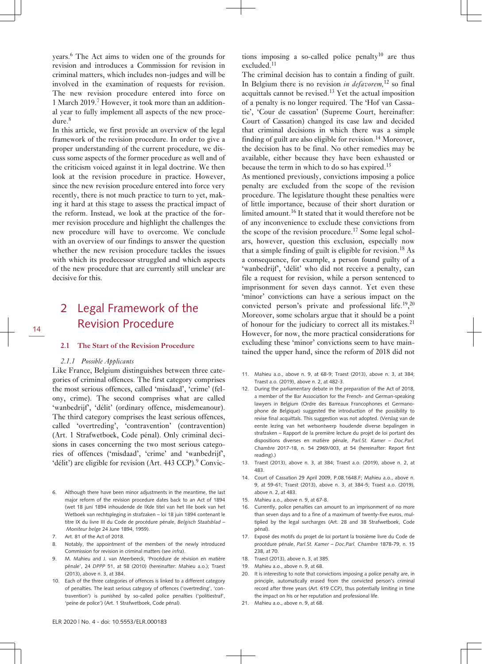years.<sup>6</sup> The Act aims to widen one of the grounds for revision and introduces a Commission for revision in criminal matters, which includes non-judges and will be involved in the examination of requests for revision. The new revision procedure entered into force on 1 March 2019.<sup>7</sup> However, it took more than an additional year to fully implement all aspects of the new procedure.<sup>8</sup>

In this article, we first provide an overview of the legal framework of the revision procedure. In order to give a proper understanding of the current procedure, we discuss some aspects of the former procedure as well and of the criticism voiced against it in legal doctrine. We then look at the revision procedure in practice. However, since the new revision procedure entered into force very recently, there is not much practice to turn to yet, making it hard at this stage to assess the practical impact of the reform. Instead, we look at the practice of the former revision procedure and highlight the challenges the new procedure will have to overcome. We conclude with an overview of our findings to answer the question whether the new revision procedure tackles the issues with which its predecessor struggled and which aspects of the new procedure that are currently still unclear are decisive for this.

## 2 Legal Framework of the Revision Procedure

#### **2.1 The Start of the Revision Procedure**

#### *2.1.1 Possible Applicants*

Like France, Belgium distinguishes between three categories of criminal offences. The first category comprises the most serious offences, called 'misdaad', 'crime' (felony, crime). The second comprises what are called 'wanbedrijf', 'délit' (ordinary offence, misdemeanour). The third category comprises the least serious offences, called 'overtreding', 'contravention' (contravention) (Art. 1 Strafwetboek, Code pénal). Only criminal decisions in cases concerning the two most serious categories of offences ('misdaad', 'crime' and 'wanbedrijf', 'délit') are eligible for revision (Art. 443 CCP).<sup>9</sup> Convic-

- 6. Although there have been minor adjustments in the meantime, the last major reform of the revision procedure dates back to an Act of 1894 (wet 18 juni 1894 inhoudende de IXde titel van het IIIe boek van het Wetboek van rechtspleging in strafzaken – loi 18 juin 1894 contenant le titre IX du livre III du Code de procédure pénale, *Belgisch Staatsblad – Moniteur belge* 24 June 1894, 1959).
- 7. Art. 81 of the Act of 2018.
- 8. Notably, the appointment of the members of the newly introduced Commission for revision in criminal matters (see *infra*).
- 9. M. Mahieu and J. van Meerbeeck, 'Procédure de révision en matière pénale', 24 *DPPP* 51, at 58 (2010) (hereinafter: Mahieu a.o.); Traest (2013), above n. 3, at 384.
- 10. Each of the three categories of offences is linked to a different category of penalties. The least serious category of offences ('overtreding', 'contravention') is punished by so-called police penalties ('politiestraf', 'peine de police') (Art. 1 Strafwetboek, Code pénal).

tions imposing a so-called police penalty<sup>10</sup> are thus excluded.<sup>11</sup>

The criminal decision has to contain a finding of guilt. In Belgium there is no revision *in defavorem,*<sup>12</sup> so final acquittals cannot be revised.<sup>13</sup> Yet the actual imposition of a penalty is no longer required. The 'Hof van Cassatie', 'Cour de cassation' (Supreme Court, hereinafter: Court of Cassation) changed its case law and decided that criminal decisions in which there was a simple finding of guilt are also eligible for revision.<sup>14</sup> Moreover, the decision has to be final. No other remedies may be available, either because they have been exhausted or because the term in which to do so has expired.<sup>15</sup>

As mentioned previously, convictions imposing a police penalty are excluded from the scope of the revision procedure. The legislature thought these penalties were of little importance, because of their short duration or limited amount.<sup>16</sup> It stated that it would therefore not be of any inconvenience to exclude these convictions from the scope of the revision procedure.<sup>17</sup> Some legal scholars, however, question this exclusion, especially now that a simple finding of guilt is eligible for revision.<sup>18</sup> As a consequence, for example, a person found guilty of a 'wanbedrijf', 'délit' who did not receive a penalty, can file a request for revision, while a person sentenced to imprisonment for seven days cannot. Yet even these 'minor' convictions can have a serious impact on the convicted person's private and professional life.<sup>19</sup>,<sup>20</sup> Moreover, some scholars argue that it should be a point of honour for the judiciary to correct all its mistakes.<sup>21</sup> However, for now, the more practical considerations for excluding these 'minor' convictions seem to have maintained the upper hand, since the reform of 2018 did not

- 11. Mahieu a.o., above n. 9, at 68-9; Traest (2013), above n. 3, at 384; Traest a.o. (2019), above n. 2, at 482-3.
- 12. During the parliamentary debate in the preparation of the Act of 2018, a member of the Bar Association for the French- and German-speaking lawyers in Belgium (Ordre des Barreaux Francophones et Germanophone de Belgique) suggested the introduction of the possibility to revise final acquittals. This suggestion was not adopted. (Verslag van de eerste lezing van het wetsontwerp houdende diverse bepalingen in strafzaken – Rapport de la première lecture du projet de loi portant des dispositions diverses en matière pénale, *Parl.St. Kamer – Doc.Parl. Chambre* 2017-18, n. 54 2969/003, at 54 (hereinafter: Report first reading).)
- 13. Traest (2013), above n. 3, at 384; Traest a.o. (2019), above n. 2, at 483.
- 14. Court of Cassation 29 April 2009, P.08.1648.F; Mahieu a.o., above n. 9, at 59-61; Traest (2013), above n. 3, at 384-5; Traest a.o. (2019), above n $2$  at 483.
- 15. Mahieu a.o., above n. 9, at 67-8.
- 16. Currently, police penalties can amount to an imprisonment of no more than seven days and to a fine of a maximum of twenty-five euros, multiplied by the legal surcharges (Art. 28 and 38 Strafwetboek, Code pénal).
- 17. Exposé des motifs du projet de loi portant la troisième livre du Code de procédure pénale, *Parl.St. Kamer – Doc.Parl. Chambre* 1878-79, n. 15 238, at 70.
- 18. Traest (2013), above n. 3, at 385.
- 19. Mahieu a.o., above n. 9, at 68.
- 20. It is interesting to note that convictions imposing a police penalty are, in principle, automatically erased from the convicted person's criminal record after three years (Art. 619 CCP), thus potentially limiting in time the impact on his or her reputation and professional life.
- 21. Mahieu a.o., above n. 9, at 68.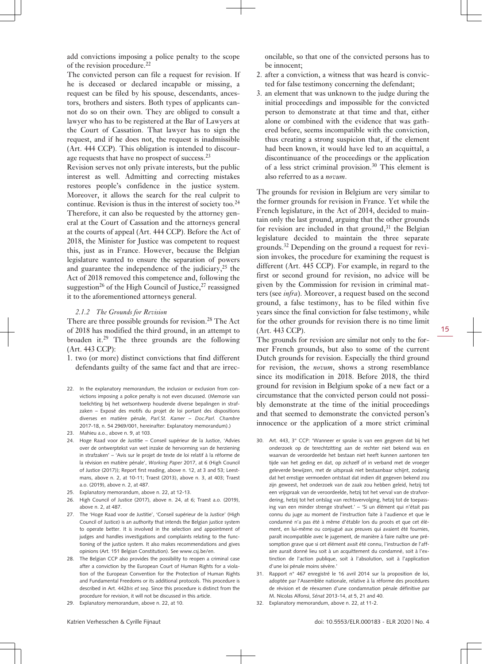add convictions imposing a police penalty to the scope of the revision procedure.<sup>22</sup>

The convicted person can file a request for revision. If he is deceased or declared incapable or missing, a request can be filed by his spouse, descendants, ancestors, brothers and sisters. Both types of applicants cannot do so on their own. They are obliged to consult a lawyer who has to be registered at the Bar of Lawyers at the Court of Cassation. That lawyer has to sign the request, and if he does not, the request is inadmissible (Art. 444 CCP). This obligation is intended to discourage requests that have no prospect of success.<sup>23</sup>

Revision serves not only private interests, but the public interest as well. Admitting and correcting mistakes restores people's confidence in the justice system. Moreover, it allows the search for the real culprit to continue. Revision is thus in the interest of society too. $24$ Therefore, it can also be requested by the attorney general at the Court of Cassation and the attorneys general at the courts of appeal (Art. 444 CCP). Before the Act of 2018, the Minister for Justice was competent to request this, just as in France. However, because the Belgian legislature wanted to ensure the separation of powers and guarantee the independence of the judiciary,  $25$  the Act of 2018 removed this competence and, following the suggestion<sup>26</sup> of the High Council of Justice,<sup>27</sup> reassigned it to the aforementioned attorneys general.

#### *2.1.2 The Grounds for Revision*

There are three possible grounds for revision.<sup>28</sup> The Act of 2018 has modified the third ground, in an attempt to broaden it.29 The three grounds are the following (Art. 443 CCP):

- 1. two (or more) distinct convictions that find different defendants guilty of the same fact and that are irrec-
- 22. In the explanatory memorandum, the inclusion or exclusion from convictions imposing a police penalty is not even discussed. (Memorie van toelichting bij het wetsontwerp houdende diverse bepalingen in strafzaken – Exposé des motifs du projet de loi portant des dispositions diverses en matière pénale, *Parl.St. Kamer – Doc.Parl. Chambre* 2017-18, n. 54 2969/001, hereinafter: Explanatory memorandum).)
- 23. Mahieu a.o., above n. 9, at 103.
- 24. Hoge Raad voor de Justitie Conseil supérieur de la Justice, 'Advies over de ontwerptekst van wet inzake de hervorming van de herziening in strafzaken' – 'Avis sur le projet de texte de loi relatif à la réforme de la révision en matière pénale', *Working Paper* 2017, at 6 (High Council of Justice (2017)); Report first reading, above n. 12, at 3 and 53; Leestmans, above n. 2, at 10-11; Traest (2013), above n. 3, at 403; Traest a.o. (2019), above n. 2, at 487.
- 25. Explanatory memorandum, above n. 22, at 12-13.
- 26. High Council of Justice (2017), above n. 24, at 6; Traest a.o. (2019), above n. 2, at 487.
- 27. The 'Hoge Raad voor de Justitie', 'Conseil supérieur de la Justice' (High Council of Justice) is an authority that intends the Belgian justice system to operate better. It is involved in the selection and appointment of judges and handles investigations and complaints relating to the functioning of the justice system. It also makes recommendations and gives opinions (Art. 151 Belgian Constitution). See [www.csj.be/en.](http://www.csj.be/en)
- 28. The Belgian CCP also provides the possibility to reopen a criminal case after a conviction by the European Court of Human Rights for a violation of the European Convention for the Protection of Human Rights and Fundamental Freedoms or its additional protocols. This procedure is described in Art. 442*bis et seq*. Since this procedure is distinct from the procedure for revision, it will not be discussed in this article.
- 29. Explanatory memorandum, above n. 22, at 10.

oncilable, so that one of the convicted persons has to be innocent;

- 2. after a conviction, a witness that was heard is convicted for false testimony concerning the defendant;
- 3. an element that was unknown to the judge during the initial proceedings and impossible for the convicted person to demonstrate at that time and that, either alone or combined with the evidence that was gathered before, seems incompatible with the conviction, thus creating a strong suspicion that, if the element had been known, it would have led to an acquittal, a discontinuance of the proceedings or the application of a less strict criminal provision.<sup>30</sup> This element is also referred to as a *novum*.

The grounds for revision in Belgium are very similar to the former grounds for revision in France. Yet while the French legislature, in the Act of 2014, decided to maintain only the last ground, arguing that the other grounds for revision are included in that ground, $31$  the Belgian legislature decided to maintain the three separate grounds.32 Depending on the ground a request for revision invokes, the procedure for examining the request is different (Art. 445 CCP). For example, in regard to the first or second ground for revision, no advice will be given by the Commission for revision in criminal matters (see *infra*). Moreover, a request based on the second ground, a false testimony, has to be filed within five years since the final conviction for false testimony, while for the other grounds for revision there is no time limit (Art. 443 CCP).

The grounds for revision are similar not only to the former French grounds, but also to some of the current Dutch grounds for revision. Especially the third ground for revision, the *novum*, shows a strong resemblance since its modification in 2018. Before 2018, the third ground for revision in Belgium spoke of a new fact or a circumstance that the convicted person could not possibly demonstrate at the time of the initial proceedings and that seemed to demonstrate the convicted person's innocence or the application of a more strict criminal

- 30. Art. 443, 3° CCP: 'Wanneer er sprake is van een gegeven dat bij het onderzoek op de terechtzitting aan de rechter niet bekend was en waarvan de veroordeelde het bestaan niet heeft kunnen aantonen ten tijde van het geding en dat, op zichzelf of in verband met de vroeger geleverde bewijzen, met de uitspraak niet bestaanbaar schijnt, zodanig dat het ernstige vermoeden ontstaat dat indien dit gegeven bekend zou zijn geweest, het onderzoek van de zaak zou hebben geleid, hetzij tot een vrijspraak van de veroordeelde, hetzij tot het verval van de strafvordering, hetzij tot het ontslag van rechtsvervolging, hetzij tot de toepassing van een minder strenge strafwet.' – 'Si un élément qui n'était pas connu du juge au moment de l'instruction faite à l'audience et que le condamné n'a pas été à même d'établir lors du procès et que cet élément, en lui-même ou conjugué aux preuves qui avaient été fournies, paraît incompatible avec le jugement, de manière à faire naître une présomption grave que si cet élément avait été connu, l'instruction de l'affaire aurait donné lieu soit à un acquittement du condamné, soit à l'extinction de l'action publique, soit à l'absolution, soit à l'application d'une loi pénale moins sévère.'
- 31. Rapport n° 467 enregistré le 16 avril 2014 sur la proposition de loi, adoptée par l'Assemblée nationale, relative à la réforme des procédures de révision et de réexamen d'une condamnation pénale définitive par M. Nicolas Alfonsi, *Sénat* 2013-14, at 5, 21 and 40.
- 32. Explanatory memorandum, above n. 22, at 11-2.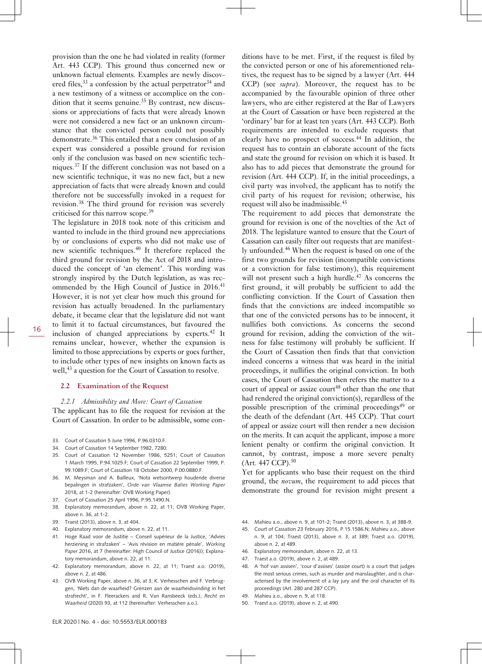provision than the one he had violated in reality (former Art. 443 CCP). This ground thus concerned new or unknown factual elements. Examples are newly discovered files,  $33$  a confession by the actual perpetrator  $34$  and a new testimony of a witness or accomplice on the condition that it seems genuine.<sup>35</sup> By contrast, new discussions or appreciations of facts that were already known were not considered a new fact or an unknown circumstance that the convicted person could not possibly demonstrate.<sup>36</sup> This entailed that a new conclusion of an expert was considered a possible ground for revision only if the conclusion was based on new scientific techniques.<sup>37</sup> If the different conclusion was not based on a new scientific technique, it was no new fact, but a new appreciation of facts that were already known and could therefore not be successfully invoked in a request for revision.<sup>38</sup> The third ground for revision was severely criticised for this narrow scope.<sup>39</sup>

The legislature in 2018 took note of this criticism and wanted to include in the third ground new appreciations by or conclusions of experts who did not make use of new scientific techniques.<sup>40</sup> It therefore replaced the third ground for revision by the Act of 2018 and introduced the concept of 'an element'. This wording was strongly inspired by the Dutch legislation, as was recommended by the High Council of Justice in 2016.<sup>41</sup> However, it is not yet clear how much this ground for revision has actually broadened. In the parliamentary debate, it became clear that the legislature did not want to limit it to factual circumstances, but favoured the inclusion of changed appreciations by experts. $42$  It remains unclear, however, whether the expansion is limited to those appreciations by experts or goes further, to include other types of new insights on known facts as well,<sup>43</sup> a question for the Court of Cassation to resolve.

#### **2.2 Examination of the Request**

#### *2.2.1 Admissibility and More: Court of Cassation*

The applicant has to file the request for revision at the Court of Cassation. In order to be admissible, some con-

- 33. Court of Cassation 5 June 1996, P.96.0310.F.
- 34. Court of Cassation 14 September 1982, 7280.
- 35. Court of Cassation 12 November 1986, 5251; Court of Cassation 1 March 1995, P.94.1025.F; Court of Cassation 22 September 1999, P. 99.1089.F; Court of Cassation 18 October 2000, P.00.0880.F.
- 36. M. Meysman and A. Bailleux, 'Nota wetsontwerp houdende diverse bepalingen in strafzaken', *Orde van Vlaamse Balies Working Paper* 2018, at 1-2 (hereinafter: OVB Working Paper).
- 37. Court of Cassation 25 April 1996, P.95.1490.N.
- 38. Explanatory memorandum, above n. 22, at 11; OVB Working Paper, above n. 36, at 1-2.
- 39. Traest (2013), above n. 3, at 404.
- 40. Explanatory memorandum, above n. 22, at 11.
- 41. Hoge Raad voor de Justitie Conseil supérieur de la Justice, 'Advies herziening in strafzaken' – 'Avis révision en matière pénale', *Working Paper* 2016, at 7 (hereinafter: High Council of Justice (2016)); Explanatory memorandum, above n. 22, at 11.
- 42. Explanatory memorandum, above n. 22, at 11; Traest a.o. (2019), above n. 2, at 486.
- 43. OVB Working Paper, above n. 36, at 3; K. Verhesschen and F. Verbruggen, 'Niets dan de waarheid? Grenzen aan de waarheidsvinding in het strafrecht', in F. Fleerackers and R. Van Ransbeeck (eds.), *Recht en Waarheid* (2020) 93, at 112 (hereinafter: Verhesschen a.o.).

ditions have to be met. First, if the request is filed by the convicted person or one of his aforementioned relatives, the request has to be signed by a lawyer (Art. 444 CCP) (see *supra*). Moreover, the request has to be accompanied by the favourable opinion of three other lawyers, who are either registered at the Bar of Lawyers at the Court of Cassation or have been registered at the 'ordinary' bar for at least ten years (Art. 443 CCP). Both requirements are intended to exclude requests that clearly have no prospect of success.<sup>44</sup> In addition, the request has to contain an elaborate account of the facts and state the ground for revision on which it is based. It also has to add pieces that demonstrate the ground for revision (Art. 444 CCP). If, in the initial proceedings, a civil party was involved, the applicant has to notify the civil party of his request for revision; otherwise, his request will also be inadmissible.<sup>45</sup>

The requirement to add pieces that demonstrate the ground for revision is one of the novelties of the Act of 2018. The legislature wanted to ensure that the Court of Cassation can easily filter out requests that are manifestly unfounded.<sup>46</sup> When the request is based on one of the first two grounds for revision (incompatible convictions or a conviction for false testimony), this requirement will not present such a high hurdle.<sup>47</sup> As concerns the first ground, it will probably be sufficient to add the conflicting conviction. If the Court of Cassation then finds that the convictions are indeed incompatible so that one of the convicted persons has to be innocent, it nullifies both convictions. As concerns the second ground for revision, adding the conviction of the witness for false testimony will probably be sufficient. If the Court of Cassation then finds that that conviction indeed concerns a witness that was heard in the initial proceedings, it nullifies the original conviction. In both cases, the Court of Cassation then refers the matter to a court of appeal or assize court<sup>48</sup> other than the one that had rendered the original conviction(s), regardless of the possible prescription of the criminal proceedings $49$  or the death of the defendant (Art. 445 CCP). That court of appeal or assize court will then render a new decision on the merits. It can acquit the applicant, impose a more lenient penalty or confirm the original conviction. It cannot, by contrast, impose a more severe penalty (Art. 447 CCP).<sup>50</sup>

Yet for applicants who base their request on the third ground, the *novum*, the requirement to add pieces that demonstrate the ground for revision might present a

- 44. Mahieu a.o., above n. 9, at 101-2; Traest (2013), above n. 3, at 388-9.
- 45. Court of Cassation 23 February 2016, P.15.1586.N; Mahieu a.o., above n. 9, at 104; Traest (2013), above n. 3, at 389; Traest a.o. (2019), above n. 2, at 489.
- 46. Explanatory memorandum, above n. 22, at 13.
- 47. Traest a.o. (2019), above n. 2, at 489.
- 48. A 'hof van assisen', 'cour d'assises' (assize court) is a court that judges the most serious crimes, such as murder and manslaughter, and is characterised by the involvement of a lay jury and the oral character of its proceedings (Art. 280 and 287 CCP).
- 49. Mahieu a.o., above n. 9, at 118.
- 50. Traest a.o. (2019), above n. 2, at 490.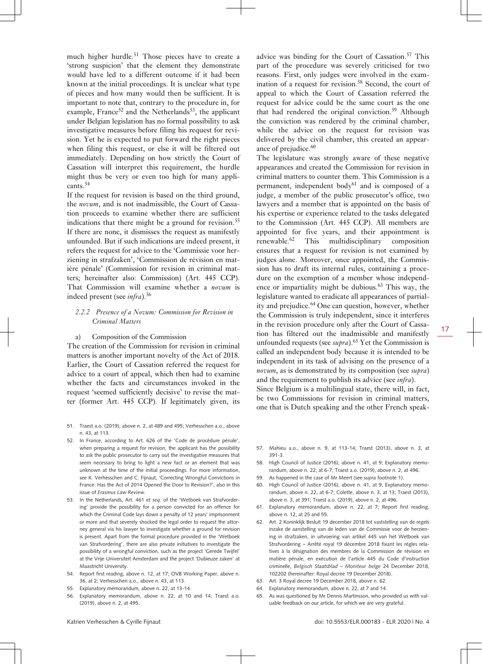much higher hurdle.<sup>51</sup> Those pieces have to create a 'strong suspicion' that the element they demonstrate would have led to a different outcome if it had been known at the initial proceedings. It is unclear what type of pieces and how many would then be sufficient. It is important to note that, contrary to the procedure in, for example, France<sup>52</sup> and the Netherlands<sup>53</sup>, the applicant under Belgian legislation has no formal possibility to ask investigative measures before filing his request for revision. Yet he is expected to put forward the right pieces when filing this request, or else it will be filtered out immediately. Depending on how strictly the Court of Cassation will interpret this requirement, the hurdle might thus be very or even too high for many applicants.<sup>54</sup>

If the request for revision is based on the third ground, the *novum*, and is not inadmissible, the Court of Cassation proceeds to examine whether there are sufficient indications that there might be a ground for revision.<sup>55</sup> If there are none, it dismisses the request as manifestly unfounded. But if such indications are indeed present, it refers the request for advice to the 'Commissie voor herziening in strafzaken', 'Commission de révision en matière pénale' (Commission for revision in criminal matters; hereinafter also: Commission) (Art. 445 CCP). That Commission will examine whether a *novum* is indeed present (see *infra*).<sup>56</sup>

#### *2.2.2 Presence of a Novum: Commission for Revision in Criminal Matters*

a) Composition of the Commission

The creation of the Commission for revision in criminal matters is another important novelty of the Act of 2018. Earlier, the Court of Cassation referred the request for advice to a court of appeal, which then had to examine whether the facts and circumstances invoked in the request 'seemed sufficiently decisive' to revise the matter (former Art. 445 CCP). If legitimately given, its

- 51. Traest a.o. (2019), above n. 2, at 489 and 495; Verhesschen a.o., above n. 43, at 113.
- 52. In France, according to Art. 626 of the 'Code de procédure pénale', when preparing a request for revision, the applicant has the possibility to ask the public prosecutor to carry out the investigative measures that seem necessary to bring to light a new fact or an element that was unknown at the time of the initial proceedings. For more information, see K. Verhesschen and C. Fijnaut, 'Correcting Wrongful Convictions in France: Has the Act of 2014 Opened the Door to Revision?', also in this issue of *Erasmus Law Review*.
- 53. In the Netherlands, Art. 461 *et seq.* of the 'Wetboek van Strafvordering' provide the possibility for a person convicted for an offence for which the Criminal Code lays down a penalty of 12 years' imprisonment or more and that severely shocked the legal order to request the attorney general via his lawyer to investigate whether a ground for revision is present. Apart from the formal procedure provided in the 'Wetboek van Strafvordering', there are also private initiatives to investigate the possibility of a wrongful conviction, such as the project 'Gerede Twijfel' at the Vrije Universiteit Amsterdam and the project 'Dubieuze zaken' at Maastricht University.
- 54. Report first reading, above n. 12, at 17; OVB Working Paper, above n. 36, at 2; Verhesschen a.o., above n. 43, at 113.
- 55. Explanatory memorandum, above n. 22, at 13-14.
- 56. Explanatory memorandum, above n. 22, at 10 and 14; Traest a.o. (2019), above n. 2, at 495.

advice was binding for the Court of Cassation.<sup>57</sup> This part of the procedure was severely criticised for two reasons. First, only judges were involved in the examination of a request for revision.<sup>58</sup> Second, the court of appeal to which the Court of Cassation referred the request for advice could be the same court as the one that had rendered the original conviction.<sup>59</sup> Although the conviction was rendered by the criminal chamber, while the advice on the request for revision was delivered by the civil chamber, this created an appearance of prejudice.<sup>60</sup>

The legislature was strongly aware of these negative appearances and created the Commission for revision in criminal matters to counter them. This Commission is a permanent, independent body<sup>61</sup> and is composed of a judge, a member of the public prosecutor's office, two lawyers and a member that is appointed on the basis of his expertise or experience related to the tasks delegated to the Commission (Art. 445 CCP). All members are appointed for five years, and their appointment is renewable.<sup>62</sup> This multidisciplinary composition ensures that a request for revision is not examined by judges alone. Moreover, once appointed, the Commission has to draft its internal rules, containing a procedure on the exemption of a member whose independence or impartiality might be dubious.<sup>63</sup> This way, the legislature wanted to eradicate all appearances of partiality and prejudice.<sup>64</sup> One can question, however, whether the Commission is truly independent, since it interferes in the revision procedure only after the Court of Cassation has filtered out the inadmissible and manifestly unfounded requests (see *supra*).65 Yet the Commission is called an independent body because it is intended to be independent in its task of advising on the presence of a *novum*, as is demonstrated by its composition (see *supra*) and the requirement to publish its advice (see *infra*).

Since Belgium is a multilingual state, there will, in fact, be two Commissions for revision in criminal matters, one that is Dutch speaking and the other French speak-

- 57. Mahieu a.o., above n. 9, at 113-14; Traest (2013), above n. 3, at 391-3.
- 58. High Council of Justice (2016), above n. 41, at 9; Explanatory memorandum, above n. 22, at 6-7; Traest a.o. (2019), above n. 2, at 496.
- 59. As happened in the case of Mr Meert (see *supra* footnote 1).
- 60. High Council of Justice (2016), above n. 41, at 9; Explanatory memorandum, above n. 22, at 6-7; Colette, above n. 3, at 13; Traest (2013), above n. 3, at 391; Traest a.o. (2019), above n. 2, at 496.
- 61. Explanatory memorandum, above n. 22, at 7; Report first reading, above n. 12, at 25 and 55.
- 62. Art. 2 Koninklijk Besluit 19 december 2018 tot vaststelling van de regels inzake de aanstelling van de leden van de Commissie voor de herziening in strafzaken, in uitvoering van artikel 445 van het Wetboek van Strafvordering – Arrêté royal 19 décembre 2018 fixant les règles relatives à la désignation des membres de la Commission de révision en matière pénale, en exécution de l'article 445 du Code d'instruction criminelle, *Belgisch Staatsblad – Moniteur belge* 24 December 2018, 102202 (hereinafter: Royal decree 19 December 2018).
- 63. Art. 3 Royal decree 19 December 2018, above n. 62.
- 64. Explanatory memorandum, above n. 22, at 7 and 14.
- 65. As was questioned by Mr Dennis Martinsson, who provided us with valuable feedback on our article, for which we are very grateful.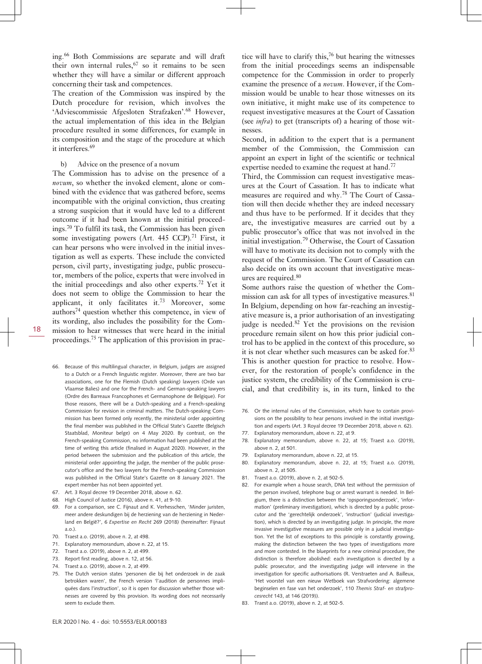ing.<sup>66</sup> Both Commissions are separate and will draft their own internal rules,  $67$  so it remains to be seen whether they will have a similar or different approach concerning their task and competences.

The creation of the Commission was inspired by the Dutch procedure for revision, which involves the 'Adviescommissie Afgesloten Strafzaken'.<sup>68</sup> However, the actual implementation of this idea in the Belgian procedure resulted in some differences, for example in its composition and the stage of the procedure at which it interferes.<sup>69</sup>

b) Advice on the presence of a novum

The Commission has to advise on the presence of a *novum*, so whether the invoked element, alone or combined with the evidence that was gathered before, seems incompatible with the original conviction, thus creating a strong suspicion that it would have led to a different outcome if it had been known at the initial proceedings.<sup>70</sup> To fulfil its task, the Commission has been given some investigating powers (Art.  $445$  CCP).<sup>71</sup> First, it can hear persons who were involved in the initial investigation as well as experts. These include the convicted person, civil party, investigating judge, public prosecutor, members of the police, experts that were involved in the initial proceedings and also other experts.72 Yet it does not seem to oblige the Commission to hear the applicant, it only facilitates it.<sup>73</sup> Moreover, some authors $74$  question whether this competence, in view of its wording, also includes the possibility for the Commission to hear witnesses that were heard in the initial proceedings.<sup>75</sup> The application of this provision in prac-

- 66. Because of this multilingual character, in Belgium, judges are assigned to a Dutch or a French linguistic register. Moreover, there are two bar associations, one for the Flemish (Dutch speaking) lawyers (Orde van Vlaamse Balies) and one for the French- and German-speaking lawyers (Ordre des Barreaux Francophones et Germanophone de Belgique). For those reasons, there will be a Dutch-speaking and a French-speaking Commission for revision in criminal matters. The Dutch-speaking Commission has been formed only recently, the ministerial order appointing the final member was published in the Official State's Gazette (Belgisch Staatsblad, Moniteur belge) on 4 May 2020. By contrast, on the French-speaking Commission, no information had been published at the time of writing this article (finalised in August 2020). However, in the period between the submission and the publication of this article, the ministerial order appointing the judge, the member of the public prosecutor's office and the two lawyers for the French-speaking Commission was published in the Official State's Gazette on 8 January 2021. The expert member has not been appointed yet.
- 67. Art. 3 Royal decree 19 December 2018, above n. 62.
- 68. High Council of Justice (2016), above n. 41, at 9-10.
- 69. For a comparison, see C. Fijnaut and K. Verhesschen, 'Minder juristen, meer andere deskundigen bij de herziening van de herziening in Nederland en België?', 6 *Expertise en Recht* 269 (2018) (hereinafter: Fijnaut a.o.).
- 70. Traest a.o. (2019), above n. 2, at 498.
- 71. Explanatory memorandum, above n. 22, at 15.
- 72. Traest a.o. (2019), above n. 2, at 499.
- 73. Report first reading, above n. 12, at 56.
- 74. Traest a.o. (2019), above n. 2, at 499.
- 75. The Dutch version states 'personen die bij het onderzoek in de zaak betrokken waren', the French version 'l'audition de personnes impliquées dans l'instruction', so it is open for discussion whether those witnesses are covered by this provision. Its wording does not necessarily seem to exclude them.

tice will have to clarify this, $76$  but hearing the witnesses from the initial proceedings seems an indispensable competence for the Commission in order to properly examine the presence of a *novum*. However, if the Commission would be unable to hear those witnesses on its own initiative, it might make use of its competence to request investigative measures at the Court of Cassation (see *infra*) to get (transcripts of) a hearing of those witnesses.

Second, in addition to the expert that is a permanent member of the Commission, the Commission can appoint an expert in light of the scientific or technical expertise needed to examine the request at hand.<sup>77</sup>

Third, the Commission can request investigative measures at the Court of Cassation. It has to indicate what measures are required and why.78 The Court of Cassation will then decide whether they are indeed necessary and thus have to be performed. If it decides that they are, the investigative measures are carried out by a public prosecutor's office that was not involved in the initial investigation.<sup>79</sup> Otherwise, the Court of Cassation will have to motivate its decision not to comply with the request of the Commission. The Court of Cassation can also decide on its own account that investigative measures are required.<sup>80</sup>

Some authors raise the question of whether the Commission can ask for all types of investigative measures.<sup>81</sup> In Belgium, depending on how far-reaching an investigative measure is, a prior authorisation of an investigating judge is needed. $82$  Yet the provisions on the revision procedure remain silent on how this prior judicial control has to be applied in the context of this procedure, so it is not clear whether such measures can be asked for.<sup>83</sup> This is another question for practice to resolve. However, for the restoration of people's confidence in the justice system, the credibility of the Commission is crucial, and that credibility is, in its turn, linked to the

- 76. Or the internal rules of the Commission, which have to contain provisions on the possibility to hear persons involved in the initial investigation and experts (Art. 3 Royal decree 19 December 2018, above n. 62).
- 77. Explanatory memorandum, above n. 22, at 9.
- 78. Explanatory memorandum, above n. 22, at 15; Traest a.o. (2019), above n $2$  at 501.
- 79. Explanatory memorandum, above n. 22, at 15.
- 80. Explanatory memorandum, above n. 22, at 15; Traest a.o. (2019), above n. 2, at 505.
- 81. Traest a.o. (2019), above n. 2, at 502-5.
- 82. For example when a house search, DNA test without the permission of the person involved, telephone bug or arrest warrant is needed. In Belgium, there is a distinction between the 'opsporingsonderzoek', 'information' (preliminary investigation), which is directed by a public prosecutor and the 'gerechtelijk onderzoek', 'instruction' (judicial investigation), which is directed by an investigating judge. In principle, the more invasive investigative measures are possible only in a judicial investigation. Yet the list of exceptions to this principle is constantly growing, making the distinction between the two types of investigations more and more contested. In the blueprints for a new criminal procedure, the distinction is therefore abolished: each investigation is directed by a public prosecutor, and the investigating judge will intervene in the investigation for specific authorisations (R. Verstraeten and A. Bailleux, 'Het voorstel van een nieuw Wetboek van Strafvordering: algemene beginselen en fase van het onderzoek', 110 *Themis Straf- en strafprocesrecht* 143, at 146 (2019)).
- 83. Traest a.o. (2019), above n. 2, at 502-5.

18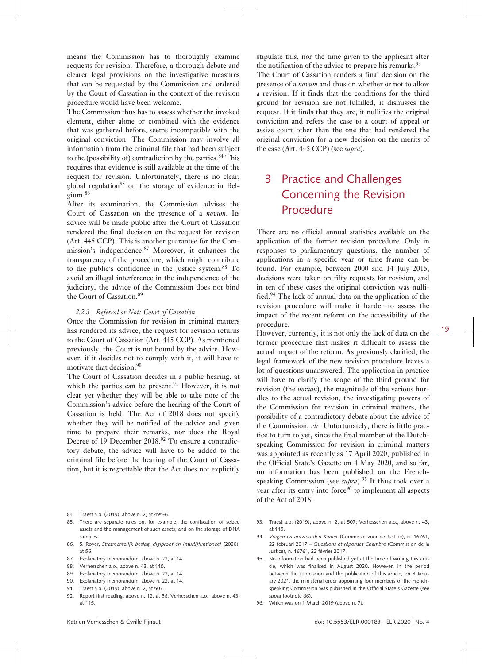means the Commission has to thoroughly examine requests for revision. Therefore, a thorough debate and clearer legal provisions on the investigative measures that can be requested by the Commission and ordered by the Court of Cassation in the context of the revision procedure would have been welcome.

The Commission thus has to assess whether the invoked element, either alone or combined with the evidence that was gathered before, seems incompatible with the original conviction. The Commission may involve all information from the criminal file that had been subject to the (possibility of) contradiction by the parties. $84$  This requires that evidence is still available at the time of the request for revision. Unfortunately, there is no clear, global regulation<sup>85</sup> on the storage of evidence in Belgium.<sup>86</sup>

After its examination, the Commission advises the Court of Cassation on the presence of a *novum*. Its advice will be made public after the Court of Cassation rendered the final decision on the request for revision (Art. 445 CCP). This is another guarantee for the Commission's independence.<sup>87</sup> Moreover, it enhances the transparency of the procedure, which might contribute to the public's confidence in the justice system.<sup>88</sup> To avoid an illegal interference in the independence of the judiciary, the advice of the Commission does not bind the Court of Cassation.<sup>89</sup>

#### *2.2.3 Referral or Not: Court of Cassation*

Once the Commission for revision in criminal matters has rendered its advice, the request for revision returns to the Court of Cassation (Art. 445 CCP). As mentioned previously, the Court is not bound by the advice. However, if it decides not to comply with it, it will have to motivate that decision.<sup>90</sup>

The Court of Cassation decides in a public hearing, at which the parties can be present.<sup>91</sup> However, it is not clear yet whether they will be able to take note of the Commission's advice before the hearing of the Court of Cassation is held. The Act of 2018 does not specify whether they will be notified of the advice and given time to prepare their remarks, nor does the Royal Decree of 19 December 2018.<sup>92</sup> To ensure a contradictory debate, the advice will have to be added to the criminal file before the hearing of the Court of Cassation, but it is regrettable that the Act does not explicitly

- 84. Traest a.o. (2019), above n. 2, at 495-6.
- 85. There are separate rules on, for example, the confiscation of seized assets and the management of such assets, and on the storage of DNA samples.
- 86. S. Royer, *Strafrechtelijk beslag: digiproof en (multi)funtioneel* (2020), at 56.
- 87. Explanatory memorandum, above n. 22, at 14.
- 88. Verhesschen a.o., above n. 43, at 115.
- 89. Explanatory memorandum, above n. 22, at 14.
- 90. Explanatory memorandum, above n. 22, at 14.
- 91. Traest a.o. (2019), above n. 2, at 507.
- 92. Report first reading, above n. 12, at 56; Verhesschen a.o., above n. 43, at 115.

stipulate this, nor the time given to the applicant after the notification of the advice to prepare his remarks.<sup>93</sup> The Court of Cassation renders a final decision on the presence of a *novum* and thus on whether or not to allow a revision. If it finds that the conditions for the third ground for revision are not fulfilled, it dismisses the request. If it finds that they are, it nullifies the original conviction and refers the case to a court of appeal or assize court other than the one that had rendered the original conviction for a new decision on the merits of the case (Art. 445 CCP) (see *supra*).

# 3 Practice and Challenges Concerning the Revision Procedure

There are no official annual statistics available on the application of the former revision procedure. Only in responses to parliamentary questions, the number of applications in a specific year or time frame can be found. For example, between 2000 and 14 July 2015, decisions were taken on fifty requests for revision, and in ten of these cases the original conviction was nullified.94 The lack of annual data on the application of the revision procedure will make it harder to assess the impact of the recent reform on the accessibility of the procedure.

However, currently, it is not only the lack of data on the former procedure that makes it difficult to assess the actual impact of the reform. As previously clarified, the legal framework of the new revision procedure leaves a lot of questions unanswered. The application in practice will have to clarify the scope of the third ground for revision (the *novum*), the magnitude of the various hurdles to the actual revision, the investigating powers of the Commission for revision in criminal matters, the possibility of a contradictory debate about the advice of the Commission, *etc*. Unfortunately, there is little practice to turn to yet, since the final member of the Dutchspeaking Commission for revision in criminal matters was appointed as recently as 17 April 2020, published in the Official State's Gazette on 4 May 2020, and so far, no information has been published on the Frenchspeaking Commission (see *supra*).<sup>95</sup> It thus took over a year after its entry into force $96$  to implement all aspects of the Act of 2018.

- 93. Traest a.o. (2019), above n. 2, at 507; Verhesschen a.o., above n. 43, at 115.
- 94. *Vragen en antwoorden Kamer* (Commissie voor de Justitie), n. 16761, 22 februari 2017 – *Questions et réponses Chambre* (Commission de la Justice), n. 16761, 22 février 2017.
- 95. No information had been published yet at the time of writing this article, which was finalised in August 2020. However, in the period between the submission and the publication of this article, on 8 January 2021, the ministerial order appointing four members of the Frenchspeaking Commission was published in the Official State's Gazette (see *supra* footnote 66).
- 96. Which was on 1 March 2019 (above n. 7).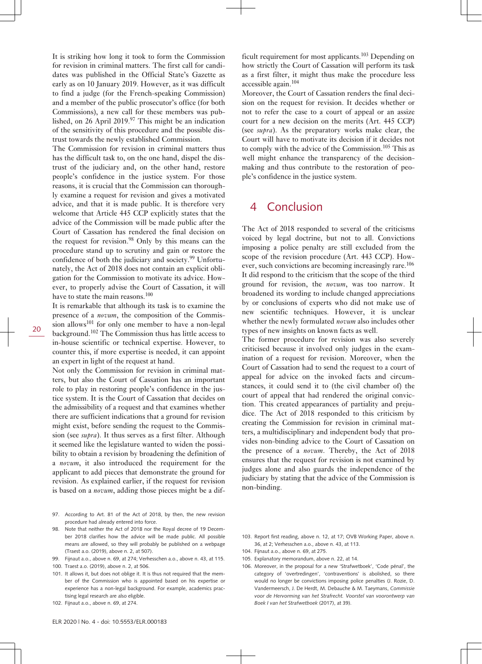It is striking how long it took to form the Commission for revision in criminal matters. The first call for candidates was published in the Official State's Gazette as early as on 10 January 2019. However, as it was difficult to find a judge (for the French-speaking Commission) and a member of the public prosecutor's office (for both Commissions), a new call for these members was published, on 26 April 2019.<sup>97</sup> This might be an indication of the sensitivity of this procedure and the possible distrust towards the newly established Commission.

The Commission for revision in criminal matters thus has the difficult task to, on the one hand, dispel the distrust of the judiciary and, on the other hand, restore people's confidence in the justice system. For those reasons, it is crucial that the Commission can thoroughly examine a request for revision and gives a motivated advice, and that it is made public. It is therefore very welcome that Article 445 CCP explicitly states that the advice of the Commission will be made public after the Court of Cassation has rendered the final decision on the request for revision.<sup>98</sup> Only by this means can the procedure stand up to scrutiny and gain or restore the confidence of both the judiciary and society.<sup>99</sup> Unfortunately, the Act of 2018 does not contain an explicit obligation for the Commission to motivate its advice. However, to properly advise the Court of Cassation, it will have to state the main reasons.<sup>100</sup>

It is remarkable that although its task is to examine the presence of a *novum*, the composition of the Commission allows<sup>101</sup> for only one member to have a non-legal background.<sup>102</sup> The Commission thus has little access to in-house scientific or technical expertise. However, to counter this, if more expertise is needed, it can appoint an expert in light of the request at hand.

Not only the Commission for revision in criminal matters, but also the Court of Cassation has an important role to play in restoring people's confidence in the justice system. It is the Court of Cassation that decides on the admissibility of a request and that examines whether there are sufficient indications that a ground for revision might exist, before sending the request to the Commission (see *supra*). It thus serves as a first filter. Although it seemed like the legislature wanted to widen the possibility to obtain a revision by broadening the definition of a *novum*, it also introduced the requirement for the applicant to add pieces that demonstrate the ground for revision. As explained earlier, if the request for revision is based on a *novum*, adding those pieces might be a dif-

- 97. According to Art. 81 of the Act of 2018, by then, the new revision procedure had already entered into force.
- 98. Note that neither the Act of 2018 nor the Royal decree of 19 December 2018 clarifies how the advice will be made public. All possible means are allowed, so they will probably be published on a webpage (Traest a.o. (2019), above n. 2, at 507).
- 99. Fijnaut a.o., above n. 69, at 274; Verhesschen a.o., above n. 43, at 115.
- 100. Traest a.o. (2019), above n. 2, at 506.
- 101. It allows it, but does not oblige it. It is thus not required that the member of the Commission who is appointed based on his expertise or experience has a non-legal background. For example, academics practising legal research are also eligible.
- 102. Fijnaut a.o., above n. 69, at 274.

ficult requirement for most applicants.<sup>103</sup> Depending on how strictly the Court of Cassation will perform its task as a first filter, it might thus make the procedure less accessible again.<sup>104</sup>

Moreover, the Court of Cassation renders the final decision on the request for revision. It decides whether or not to refer the case to a court of appeal or an assize court for a new decision on the merits (Art. 445 CCP) (see *supra*). As the preparatory works make clear, the Court will have to motivate its decision if it decides not to comply with the advice of the Commission.<sup>105</sup> This as well might enhance the transparency of the decisionmaking and thus contribute to the restoration of people's confidence in the justice system.

### 4 Conclusion

The Act of 2018 responded to several of the criticisms voiced by legal doctrine, but not to all. Convictions imposing a police penalty are still excluded from the scope of the revision procedure (Art. 443 CCP). However, such convictions are becoming increasingly rare.<sup>106</sup> It did respond to the criticism that the scope of the third ground for revision, the *novum*, was too narrow. It broadened its wording to include changed appreciations by or conclusions of experts who did not make use of new scientific techniques. However, it is unclear whether the newly formulated *novum* also includes other types of new insights on known facts as well.

The former procedure for revision was also severely criticised because it involved only judges in the examination of a request for revision. Moreover, when the Court of Cassation had to send the request to a court of appeal for advice on the invoked facts and circumstances, it could send it to (the civil chamber of) the court of appeal that had rendered the original conviction. This created appearances of partiality and prejudice. The Act of 2018 responded to this criticism by creating the Commission for revision in criminal matters, a multidisciplinary and independent body that provides non-binding advice to the Court of Cassation on the presence of a *novum*. Thereby, the Act of 2018 ensures that the request for revision is not examined by judges alone and also guards the independence of the judiciary by stating that the advice of the Commission is non-binding.

- 104. Fijnaut a.o., above n. 69, at 275.
- 105. Explanatory memorandum, above n. 22, at 14.
- 106. Moreover, in the proposal for a new 'Strafwetboek', 'Code pénal', the category of 'overtredingen', 'contraventions' is abolished, so there would no longer be convictions imposing police penalties (J. Rozie, D. Vandermeersch, J. De Herdt, M. Debauche & M. Taeymans, *Commissie voor de Hervorming van het Strafrecht. Voorstel van voorontwerp van Boek I van het Strafwetboek* (2017), at 39).

<sup>103.</sup> Report first reading, above n. 12, at 17; OVB Working Paper, above n. 36, at 2; Verhesschen a.o., above n. 43, at 113.